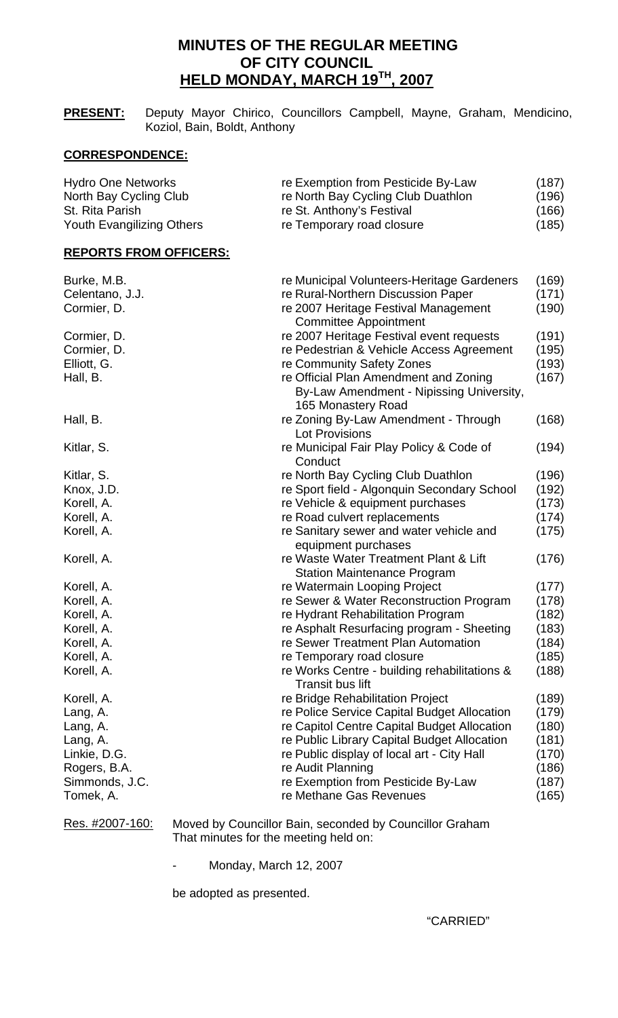# **MINUTES OF THE REGULAR MEETING OF CITY COUNCIL HELD MONDAY, MARCH 19TH, 2007**

**PRESENT:** Deputy Mayor Chirico, Councillors Campbell, Mayne, Graham, Mendicino, Koziol, Bain, Boldt, Anthony

## **CORRESPONDENCE:**

| St. Rita Parish                  | re St. Anthony's Festival          | (166) |
|----------------------------------|------------------------------------|-------|
| <b>Youth Evangilizing Others</b> | re Temporary road closure          | (185) |
| <b>Hydro One Networks</b>        | re Exemption from Pesticide By-Law | (187) |
| North Bay Cycling Club           | re North Bay Cycling Club Duathlon | (196) |

| Burke, M.B.     | re Municipal Volunteers-Heritage Gardeners   | (169) |
|-----------------|----------------------------------------------|-------|
| Celentano, J.J. | re Rural-Northern Discussion Paper           | (171) |
| Cormier, D.     | re 2007 Heritage Festival Management         | (190) |
|                 | <b>Committee Appointment</b>                 |       |
| Cormier, D.     | re 2007 Heritage Festival event requests     | (191) |
| Cormier, D.     | re Pedestrian & Vehicle Access Agreement     | (195) |
| Elliott, G.     | re Community Safety Zones                    | (193) |
| Hall, B.        | re Official Plan Amendment and Zoning        | (167) |
|                 | By-Law Amendment - Nipissing University,     |       |
|                 | 165 Monastery Road                           |       |
| Hall, B.        | re Zoning By-Law Amendment - Through         | (168) |
|                 | <b>Lot Provisions</b>                        |       |
| Kitlar, S.      | re Municipal Fair Play Policy & Code of      | (194) |
|                 | Conduct                                      |       |
| Kitlar, S.      | re North Bay Cycling Club Duathlon           | (196) |
| Knox, J.D.      | re Sport field - Algonquin Secondary School  | (192) |
| Korell, A.      | re Vehicle & equipment purchases             | (173) |
| Korell, A.      | re Road culvert replacements                 | (174) |
| Korell, A.      | re Sanitary sewer and water vehicle and      | (175) |
|                 | equipment purchases                          |       |
| Korell, A.      | re Waste Water Treatment Plant & Lift        | (176) |
|                 | <b>Station Maintenance Program</b>           |       |
| Korell, A.      | re Watermain Looping Project                 | (177) |
| Korell, A.      | re Sewer & Water Reconstruction Program      | (178) |
| Korell, A.      | re Hydrant Rehabilitation Program            | (182) |
| Korell, A.      | re Asphalt Resurfacing program - Sheeting    | (183) |
| Korell, A.      | re Sewer Treatment Plan Automation           | (184) |
| Korell, A.      | re Temporary road closure                    | (185) |
| Korell, A.      | re Works Centre - building rehabilitations & | (188) |
|                 | <b>Transit bus lift</b>                      |       |
| Korell, A.      | re Bridge Rehabilitation Project             | (189) |
| Lang, A.        | re Police Service Capital Budget Allocation  | (179) |
| Lang, A.        | re Capitol Centre Capital Budget Allocation  | (180) |
| Lang, A.        | re Public Library Capital Budget Allocation  | (181) |
| Linkie, D.G.    | re Public display of local art - City Hall   | (170) |
| Rogers, B.A.    | re Audit Planning                            | (186) |
| Simmonds, J.C.  | re Exemption from Pesticide By-Law           | (187) |
| Tomek, A.       | re Methane Gas Revenues                      | (165) |
|                 |                                              |       |

Res. #2007-160: Moved by Councillor Bain, seconded by Councillor Graham That minutes for the meeting held on:

- Monday, March 12, 2007

be adopted as presented.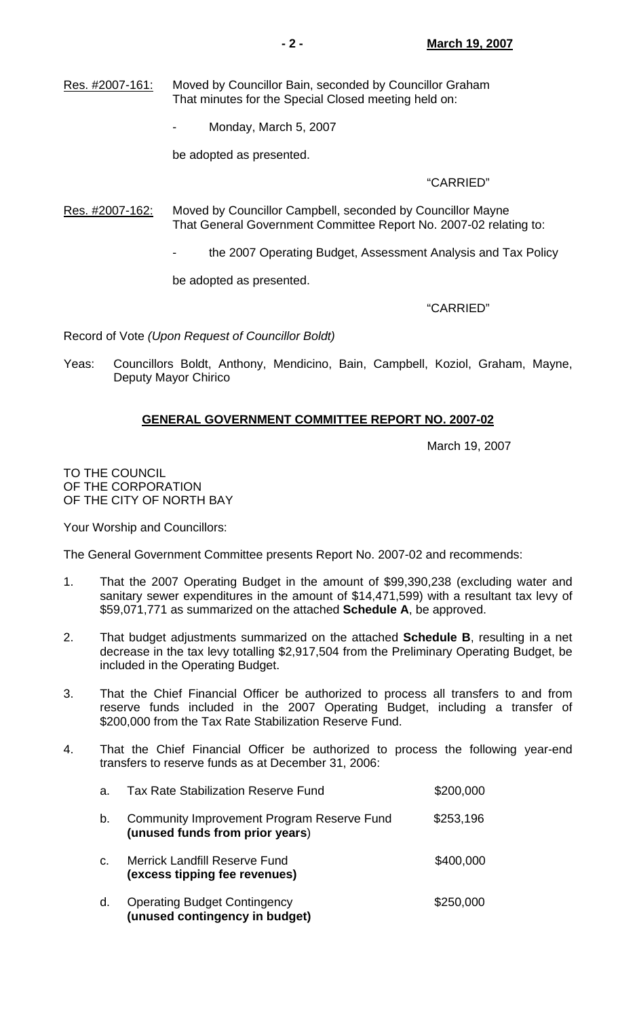- Res. #2007-161: Moved by Councillor Bain, seconded by Councillor Graham That minutes for the Special Closed meeting held on:
	- Monday, March 5, 2007

be adopted as presented.

## "CARRIED"

- Res. #2007-162: Moved by Councillor Campbell, seconded by Councillor Mayne That General Government Committee Report No. 2007-02 relating to:
	- the 2007 Operating Budget, Assessment Analysis and Tax Policy

be adopted as presented.

### "CARRIED"

Record of Vote *(Upon Request of Councillor Boldt)*

Yeas: Councillors Boldt, Anthony, Mendicino, Bain, Campbell, Koziol, Graham, Mayne, Deputy Mayor Chirico

## **GENERAL GOVERNMENT COMMITTEE REPORT NO. 2007-02**

March 19, 2007

TO THE COUNCIL OF THE CORPORATION OF THE CITY OF NORTH BAY

Your Worship and Councillors:

The General Government Committee presents Report No. 2007-02 and recommends:

- 1. That the 2007 Operating Budget in the amount of \$99,390,238 (excluding water and sanitary sewer expenditures in the amount of \$14,471,599) with a resultant tax levy of \$59,071,771 as summarized on the attached **Schedule A**, be approved.
- 2. That budget adjustments summarized on the attached **Schedule B**, resulting in a net decrease in the tax levy totalling \$2,917,504 from the Preliminary Operating Budget, be included in the Operating Budget.
- 3. That the Chief Financial Officer be authorized to process all transfers to and from reserve funds included in the 2007 Operating Budget, including a transfer of \$200,000 from the Tax Rate Stabilization Reserve Fund.
- 4. That the Chief Financial Officer be authorized to process the following year-end transfers to reserve funds as at December 31, 2006:

| a. | Tax Rate Stabilization Reserve Fund                                           | \$200,000 |
|----|-------------------------------------------------------------------------------|-----------|
| b. | Community Improvement Program Reserve Fund<br>(unused funds from prior years) | \$253,196 |
| C. | <b>Merrick Landfill Reserve Fund</b><br>(excess tipping fee revenues)         | \$400,000 |
| d. | <b>Operating Budget Contingency</b><br>(unused contingency in budget)         | \$250,000 |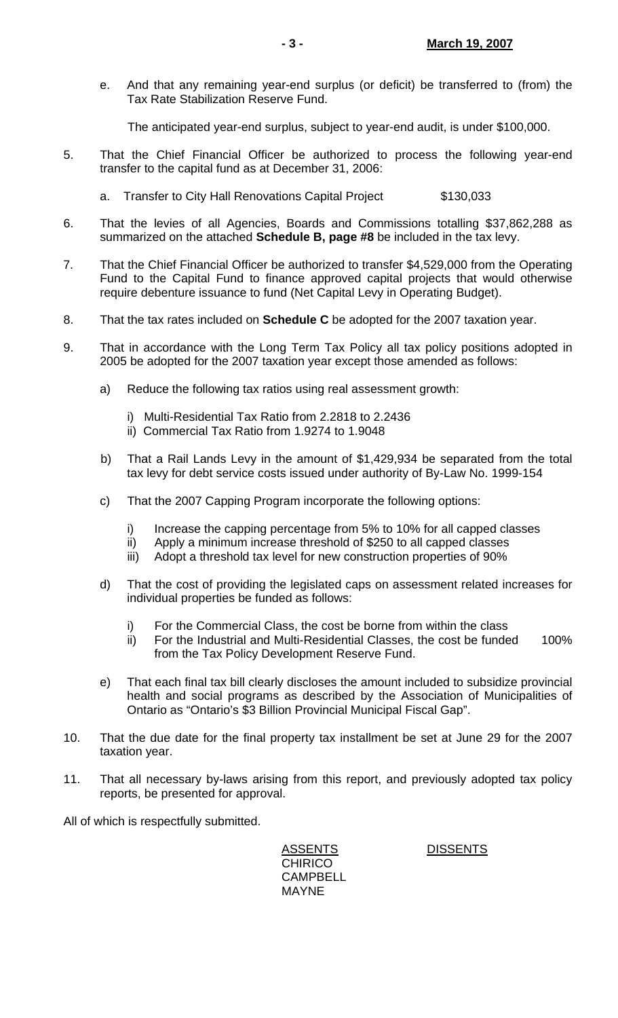e. And that any remaining year-end surplus (or deficit) be transferred to (from) the Tax Rate Stabilization Reserve Fund.

The anticipated year-end surplus, subject to year-end audit, is under \$100,000.

- 5. That the Chief Financial Officer be authorized to process the following year-end transfer to the capital fund as at December 31, 2006:
	- a. Transfer to City Hall Renovations Capital Project \$130,033
- 6. That the levies of all Agencies, Boards and Commissions totalling \$37,862,288 as summarized on the attached **Schedule B, page #8** be included in the tax levy.
- 7. That the Chief Financial Officer be authorized to transfer \$4,529,000 from the Operating Fund to the Capital Fund to finance approved capital projects that would otherwise require debenture issuance to fund (Net Capital Levy in Operating Budget).
- 8. That the tax rates included on **Schedule C** be adopted for the 2007 taxation year.
- 9. That in accordance with the Long Term Tax Policy all tax policy positions adopted in 2005 be adopted for the 2007 taxation year except those amended as follows:
	- a) Reduce the following tax ratios using real assessment growth:
		- i) Multi-Residential Tax Ratio from 2.2818 to 2.2436
		- ii) Commercial Tax Ratio from 1.9274 to 1.9048
	- b) That a Rail Lands Levy in the amount of \$1,429,934 be separated from the total tax levy for debt service costs issued under authority of By-Law No. 1999-154
	- c) That the 2007 Capping Program incorporate the following options:
		- i) Increase the capping percentage from 5% to 10% for all capped classes
		- ii) Apply a minimum increase threshold of \$250 to all capped classes
		- iii) Adopt a threshold tax level for new construction properties of 90%
	- d) That the cost of providing the legislated caps on assessment related increases for individual properties be funded as follows:
		- i) For the Commercial Class, the cost be borne from within the class
		- ii) For the Industrial and Multi-Residential Classes, the cost be funded 100% from the Tax Policy Development Reserve Fund.
	- e) That each final tax bill clearly discloses the amount included to subsidize provincial health and social programs as described by the Association of Municipalities of Ontario as "Ontario's \$3 Billion Provincial Municipal Fiscal Gap".
- 10. That the due date for the final property tax installment be set at June 29 for the 2007 taxation year.
- 11. That all necessary by-laws arising from this report, and previously adopted tax policy reports, be presented for approval.

All of which is respectfully submitted.

ASSENTS DISSENTS **CHIRICO**  CAMPBELL MAYNE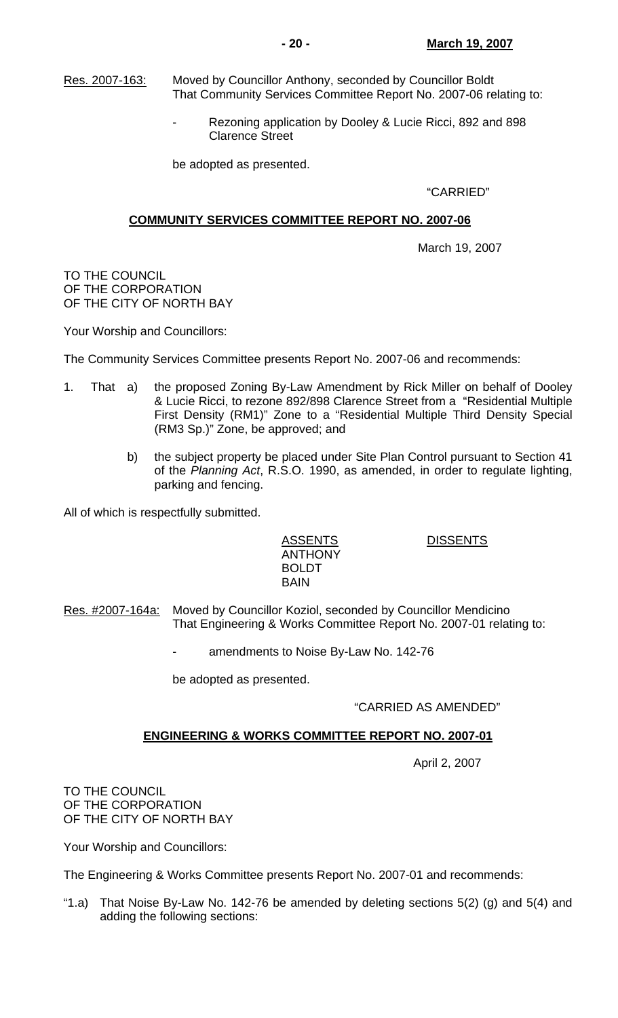- Res. 2007-163: Moved by Councillor Anthony, seconded by Councillor Boldt That Community Services Committee Report No. 2007-06 relating to:
	- Rezoning application by Dooley & Lucie Ricci, 892 and 898 Clarence Street

be adopted as presented.

"CARRIED"

#### **COMMUNITY SERVICES COMMITTEE REPORT NO. 2007-06**

March 19, 2007

TO THE COUNCIL OF THE CORPORATION OF THE CITY OF NORTH BAY

Your Worship and Councillors:

The Community Services Committee presents Report No. 2007-06 and recommends:

- 1. That a) the proposed Zoning By-Law Amendment by Rick Miller on behalf of Dooley & Lucie Ricci, to rezone 892/898 Clarence Street from a "Residential Multiple First Density (RM1)" Zone to a "Residential Multiple Third Density Special (RM3 Sp.)" Zone, be approved; and
	- b) the subject property be placed under Site Plan Control pursuant to Section 41 of the *Planning Act*, R.S.O. 1990, as amended, in order to regulate lighting, parking and fencing.

All of which is respectfully submitted.

 ANTHONY BOLDT BAIN

ASSENTS DISSENTS

- Res. #2007-164a: Moved by Councillor Koziol, seconded by Councillor Mendicino That Engineering & Works Committee Report No. 2007-01 relating to:
	- amendments to Noise By-Law No. 142-76

be adopted as presented.

### "CARRIED AS AMENDED"

#### **ENGINEERING & WORKS COMMITTEE REPORT NO. 2007-01**

April 2, 2007

TO THE COUNCIL OF THE CORPORATION OF THE CITY OF NORTH BAY

Your Worship and Councillors:

The Engineering & Works Committee presents Report No. 2007-01 and recommends:

"1.a) That Noise By-Law No. 142-76 be amended by deleting sections  $5(2)$  (g) and  $5(4)$  and adding the following sections: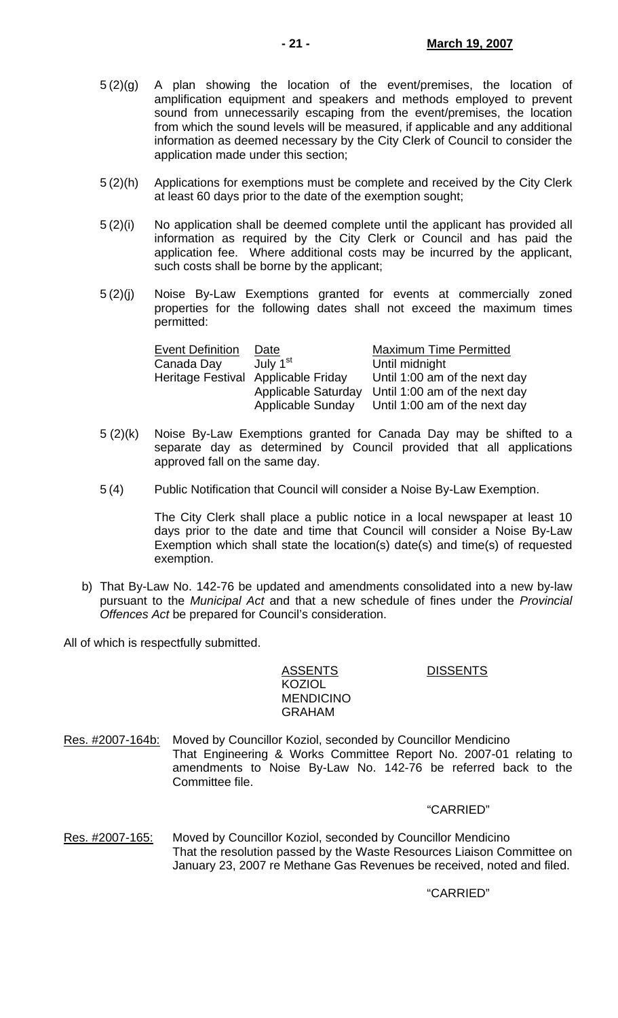- 5 (2)(g) A plan showing the location of the event/premises, the location of amplification equipment and speakers and methods employed to prevent sound from unnecessarily escaping from the event/premises, the location from which the sound levels will be measured, if applicable and any additional information as deemed necessary by the City Clerk of Council to consider the application made under this section;
- 5 (2)(h) Applications for exemptions must be complete and received by the City Clerk at least 60 days prior to the date of the exemption sought;
- 5 (2)(i) No application shall be deemed complete until the applicant has provided all information as required by the City Clerk or Council and has paid the application fee. Where additional costs may be incurred by the applicant, such costs shall be borne by the applicant;
- 5 (2)(j) Noise By-Law Exemptions granted for events at commercially zoned properties for the following dates shall not exceed the maximum times permitted:

| <b>Event Definition</b> | Date                                | <b>Maximum Time Permitted</b> |
|-------------------------|-------------------------------------|-------------------------------|
| Canada Day              | July 1 <sup>st</sup>                | Until midnight                |
|                         | Heritage Festival Applicable Friday | Until 1:00 am of the next day |
|                         | Applicable Saturday                 | Until 1:00 am of the next day |
|                         | Applicable Sunday                   | Until 1:00 am of the next day |

- 5 (2)(k) Noise By-Law Exemptions granted for Canada Day may be shifted to a separate day as determined by Council provided that all applications approved fall on the same day.
- 5 (4) Public Notification that Council will consider a Noise By-Law Exemption.

 The City Clerk shall place a public notice in a local newspaper at least 10 days prior to the date and time that Council will consider a Noise By-Law Exemption which shall state the location(s) date(s) and time(s) of requested exemption.

 b) That By-Law No. 142-76 be updated and amendments consolidated into a new by-law pursuant to the *Municipal Act* and that a new schedule of fines under the *Provincial Offences Act* be prepared for Council's consideration.

All of which is respectfully submitted.

ASSENTS DISSENTS KOZIOL **MENDICINO** GRAHAM

Res. #2007-164b: Moved by Councillor Koziol, seconded by Councillor Mendicino That Engineering & Works Committee Report No. 2007-01 relating to amendments to Noise By-Law No. 142-76 be referred back to the Committee file.

"CARRIED"

Res. #2007-165: Moved by Councillor Koziol, seconded by Councillor Mendicino That the resolution passed by the Waste Resources Liaison Committee on January 23, 2007 re Methane Gas Revenues be received, noted and filed.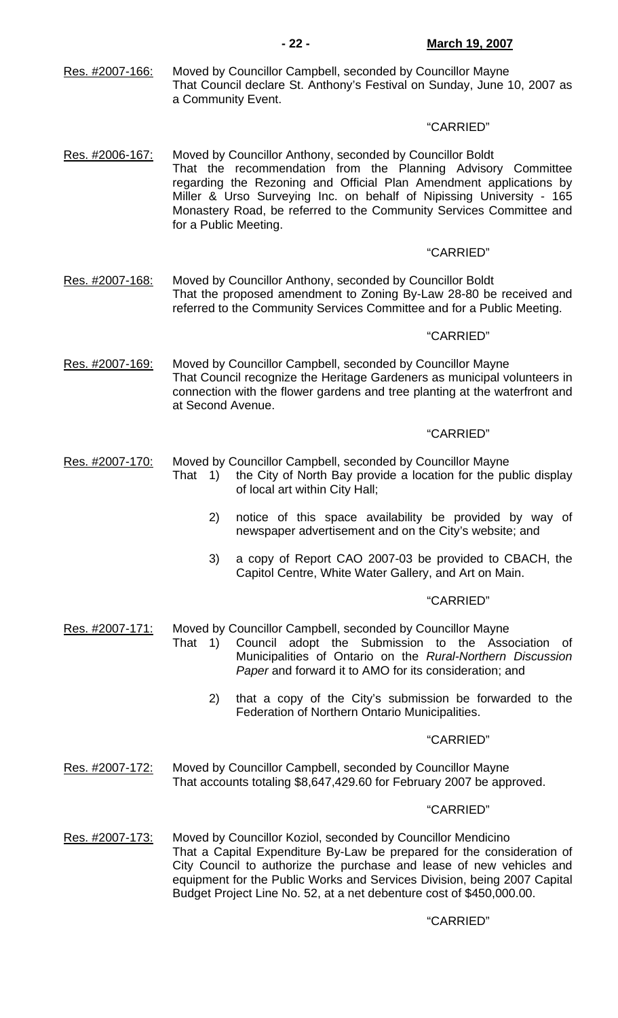Res. #2007-166: Moved by Councillor Campbell, seconded by Councillor Mayne That Council declare St. Anthony's Festival on Sunday, June 10, 2007 as a Community Event.

#### "CARRIED"

Res. #2006-167: Moved by Councillor Anthony, seconded by Councillor Boldt That the recommendation from the Planning Advisory Committee regarding the Rezoning and Official Plan Amendment applications by Miller & Urso Surveying Inc. on behalf of Nipissing University - 165 Monastery Road, be referred to the Community Services Committee and for a Public Meeting.

## "CARRIED"

Res. #2007-168: Moved by Councillor Anthony, seconded by Councillor Boldt That the proposed amendment to Zoning By-Law 28-80 be received and referred to the Community Services Committee and for a Public Meeting.

### "CARRIED"

Res. #2007-169: Moved by Councillor Campbell, seconded by Councillor Mayne That Council recognize the Heritage Gardeners as municipal volunteers in connection with the flower gardens and tree planting at the waterfront and at Second Avenue.

#### "CARRIED"

- Res. #2007-170: Moved by Councillor Campbell, seconded by Councillor Mayne
	- That 1) the City of North Bay provide a location for the public display of local art within City Hall;
		- 2) notice of this space availability be provided by way of newspaper advertisement and on the City's website; and
		- 3) a copy of Report CAO 2007-03 be provided to CBACH, the Capitol Centre, White Water Gallery, and Art on Main.

### "CARRIED"

- Res. #2007-171: Moved by Councillor Campbell, seconded by Councillor Mayne
	- That 1) Council adopt the Submission to the Association of Municipalities of Ontario on the *Rural-Northern Discussion Paper* and forward it to AMO for its consideration; and
		- 2) that a copy of the City's submission be forwarded to the Federation of Northern Ontario Municipalities.

### "CARRIED"

Res. #2007-172: Moved by Councillor Campbell, seconded by Councillor Mayne That accounts totaling \$8,647,429.60 for February 2007 be approved.

#### "CARRIED"

Res. #2007-173: Moved by Councillor Koziol, seconded by Councillor Mendicino That a Capital Expenditure By-Law be prepared for the consideration of City Council to authorize the purchase and lease of new vehicles and equipment for the Public Works and Services Division, being 2007 Capital Budget Project Line No. 52, at a net debenture cost of \$450,000.00.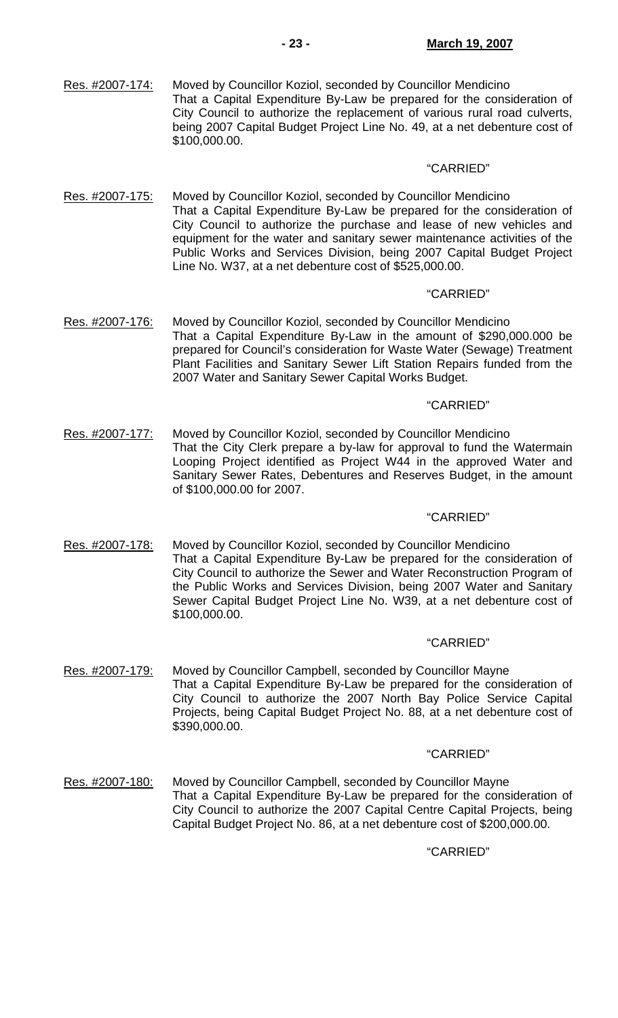Res. #2007-174: Moved by Councillor Koziol, seconded by Councillor Mendicino That a Capital Expenditure By-Law be prepared for the consideration of City Council to authorize the replacement of various rural road culverts, being 2007 Capital Budget Project Line No. 49, at a net debenture cost of \$100,000.00.

#### "CARRIED"

Res. #2007-175: Moved by Councillor Koziol, seconded by Councillor Mendicino That a Capital Expenditure By-Law be prepared for the consideration of City Council to authorize the purchase and lease of new vehicles and equipment for the water and sanitary sewer maintenance activities of the Public Works and Services Division, being 2007 Capital Budget Project Line No. W37, at a net debenture cost of \$525,000.00.

#### "CARRIED"

Res. #2007-176: Moved by Councillor Koziol, seconded by Councillor Mendicino That a Capital Expenditure By-Law in the amount of \$290,000.000 be prepared for Council's consideration for Waste Water (Sewage) Treatment Plant Facilities and Sanitary Sewer Lift Station Repairs funded from the 2007 Water and Sanitary Sewer Capital Works Budget.

#### "CARRIED"

Res. #2007-177: Moved by Councillor Koziol, seconded by Councillor Mendicino That the City Clerk prepare a by-law for approval to fund the Watermain Looping Project identified as Project W44 in the approved Water and Sanitary Sewer Rates, Debentures and Reserves Budget, in the amount of \$100,000.00 for 2007.

#### "CARRIED"

Res. #2007-178: Moved by Councillor Koziol, seconded by Councillor Mendicino That a Capital Expenditure By-Law be prepared for the consideration of City Council to authorize the Sewer and Water Reconstruction Program of the Public Works and Services Division, being 2007 Water and Sanitary Sewer Capital Budget Project Line No. W39, at a net debenture cost of \$100,000.00.

#### "CARRIED"

Res. #2007-179: Moved by Councillor Campbell, seconded by Councillor Mayne That a Capital Expenditure By-Law be prepared for the consideration of City Council to authorize the 2007 North Bay Police Service Capital Projects, being Capital Budget Project No. 88, at a net debenture cost of \$390,000.00.

#### "CARRIED"

Res. #2007-180: Moved by Councillor Campbell, seconded by Councillor Mayne That a Capital Expenditure By-Law be prepared for the consideration of City Council to authorize the 2007 Capital Centre Capital Projects, being Capital Budget Project No. 86, at a net debenture cost of \$200,000.00.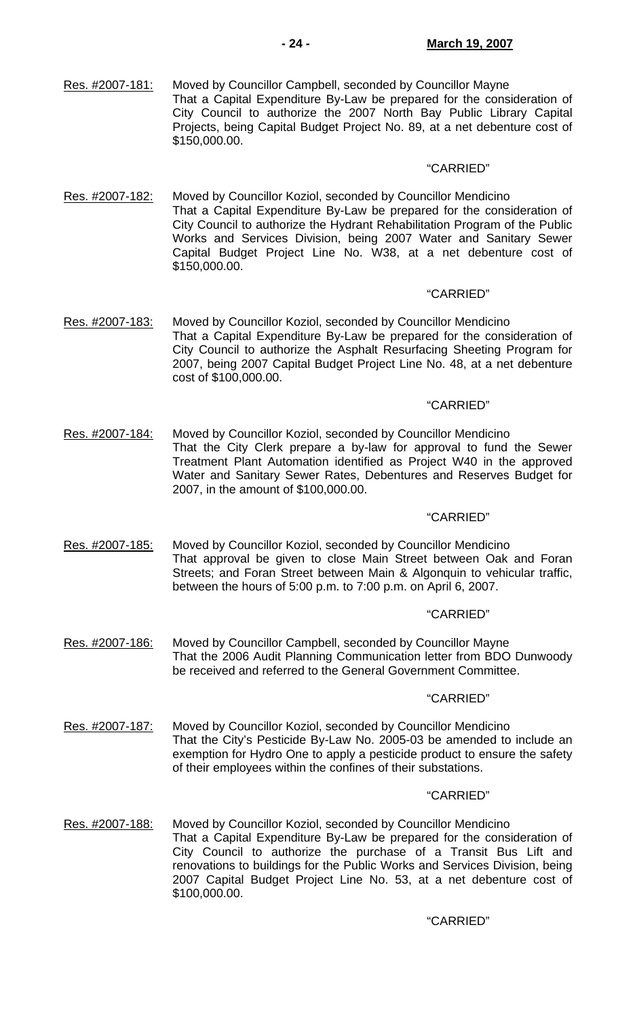Res. #2007-181: Moved by Councillor Campbell, seconded by Councillor Mayne That a Capital Expenditure By-Law be prepared for the consideration of City Council to authorize the 2007 North Bay Public Library Capital Projects, being Capital Budget Project No. 89, at a net debenture cost of \$150,000.00.

#### "CARRIED"

Res. #2007-182: Moved by Councillor Koziol, seconded by Councillor Mendicino That a Capital Expenditure By-Law be prepared for the consideration of City Council to authorize the Hydrant Rehabilitation Program of the Public Works and Services Division, being 2007 Water and Sanitary Sewer Capital Budget Project Line No. W38, at a net debenture cost of \$150,000.00.

#### "CARRIED"

Res. #2007-183: Moved by Councillor Koziol, seconded by Councillor Mendicino That a Capital Expenditure By-Law be prepared for the consideration of City Council to authorize the Asphalt Resurfacing Sheeting Program for 2007, being 2007 Capital Budget Project Line No. 48, at a net debenture cost of \$100,000.00.

#### "CARRIED"

Res. #2007-184: Moved by Councillor Koziol, seconded by Councillor Mendicino That the City Clerk prepare a by-law for approval to fund the Sewer Treatment Plant Automation identified as Project W40 in the approved Water and Sanitary Sewer Rates, Debentures and Reserves Budget for 2007, in the amount of \$100,000.00.

#### "CARRIED"

Res. #2007-185: Moved by Councillor Koziol, seconded by Councillor Mendicino That approval be given to close Main Street between Oak and Foran Streets; and Foran Street between Main & Algonquin to vehicular traffic, between the hours of 5:00 p.m. to 7:00 p.m. on April 6, 2007.

### "CARRIED"

Res. #2007-186: Moved by Councillor Campbell, seconded by Councillor Mayne That the 2006 Audit Planning Communication letter from BDO Dunwoody be received and referred to the General Government Committee.

#### "CARRIED"

Res. #2007-187: Moved by Councillor Koziol, seconded by Councillor Mendicino That the City's Pesticide By-Law No. 2005-03 be amended to include an exemption for Hydro One to apply a pesticide product to ensure the safety of their employees within the confines of their substations.

#### "CARRIED"

Res. #2007-188: Moved by Councillor Koziol, seconded by Councillor Mendicino That a Capital Expenditure By-Law be prepared for the consideration of City Council to authorize the purchase of a Transit Bus Lift and renovations to buildings for the Public Works and Services Division, being 2007 Capital Budget Project Line No. 53, at a net debenture cost of \$100,000.00.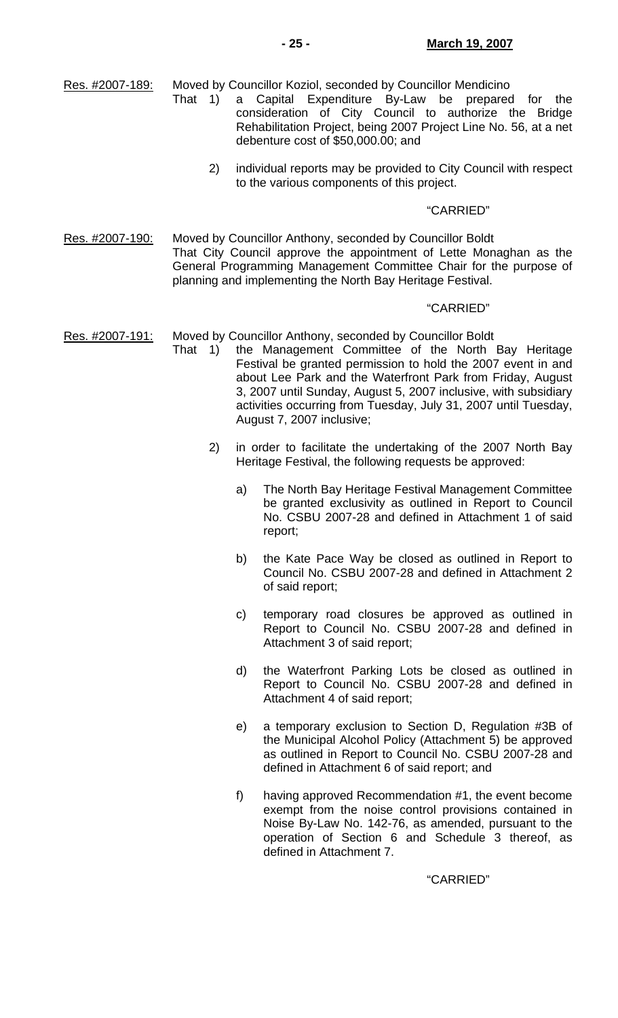Res. #2007-189: Moved by Councillor Koziol, seconded by Councillor Mendicino

- That 1) a Capital Expenditure By-Law be prepared for the consideration of City Council to authorize the Bridge Rehabilitation Project, being 2007 Project Line No. 56, at a net debenture cost of \$50,000.00; and
	- 2) individual reports may be provided to City Council with respect to the various components of this project.

#### "CARRIED"

Res. #2007-190: Moved by Councillor Anthony, seconded by Councillor Boldt That City Council approve the appointment of Lette Monaghan as the General Programming Management Committee Chair for the purpose of planning and implementing the North Bay Heritage Festival.

#### "CARRIED"

Res. #2007-191: Moved by Councillor Anthony, seconded by Councillor Boldt

- That 1) the Management Committee of the North Bay Heritage Festival be granted permission to hold the 2007 event in and about Lee Park and the Waterfront Park from Friday, August 3, 2007 until Sunday, August 5, 2007 inclusive, with subsidiary activities occurring from Tuesday, July 31, 2007 until Tuesday, August 7, 2007 inclusive;
	- 2) in order to facilitate the undertaking of the 2007 North Bay Heritage Festival, the following requests be approved:
		- a) The North Bay Heritage Festival Management Committee be granted exclusivity as outlined in Report to Council No. CSBU 2007-28 and defined in Attachment 1 of said report;
		- b) the Kate Pace Way be closed as outlined in Report to Council No. CSBU 2007-28 and defined in Attachment 2 of said report;
		- c) temporary road closures be approved as outlined in Report to Council No. CSBU 2007-28 and defined in Attachment 3 of said report;
		- d) the Waterfront Parking Lots be closed as outlined in Report to Council No. CSBU 2007-28 and defined in Attachment 4 of said report;
		- e) a temporary exclusion to Section D, Regulation #3B of the Municipal Alcohol Policy (Attachment 5) be approved as outlined in Report to Council No. CSBU 2007-28 and defined in Attachment 6 of said report; and
		- f) having approved Recommendation #1, the event become exempt from the noise control provisions contained in Noise By-Law No. 142-76, as amended, pursuant to the operation of Section 6 and Schedule 3 thereof, as defined in Attachment 7.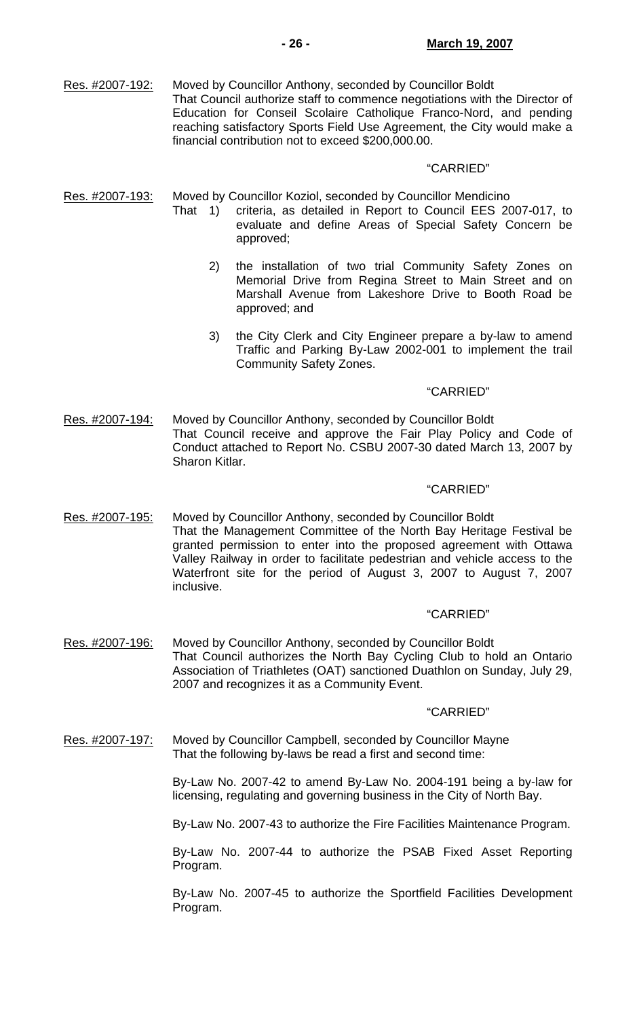Res. #2007-192: Moved by Councillor Anthony, seconded by Councillor Boldt That Council authorize staff to commence negotiations with the Director of Education for Conseil Scolaire Catholique Franco-Nord, and pending reaching satisfactory Sports Field Use Agreement, the City would make a financial contribution not to exceed \$200,000.00.

#### "CARRIED"

Res. #2007-193: Moved by Councillor Koziol, seconded by Councillor Mendicino

- That 1) criteria, as detailed in Report to Council EES 2007-017, to evaluate and define Areas of Special Safety Concern be approved;
	- 2) the installation of two trial Community Safety Zones on Memorial Drive from Regina Street to Main Street and on Marshall Avenue from Lakeshore Drive to Booth Road be approved; and
	- 3) the City Clerk and City Engineer prepare a by-law to amend Traffic and Parking By-Law 2002-001 to implement the trail Community Safety Zones.

### "CARRIED"

Res. #2007-194: Moved by Councillor Anthony, seconded by Councillor Boldt That Council receive and approve the Fair Play Policy and Code of Conduct attached to Report No. CSBU 2007-30 dated March 13, 2007 by Sharon Kitlar.

### "CARRIED"

Res. #2007-195: Moved by Councillor Anthony, seconded by Councillor Boldt That the Management Committee of the North Bay Heritage Festival be granted permission to enter into the proposed agreement with Ottawa Valley Railway in order to facilitate pedestrian and vehicle access to the Waterfront site for the period of August 3, 2007 to August 7, 2007 inclusive.

### "CARRIED"

Res. #2007-196: Moved by Councillor Anthony, seconded by Councillor Boldt That Council authorizes the North Bay Cycling Club to hold an Ontario Association of Triathletes (OAT) sanctioned Duathlon on Sunday, July 29, 2007 and recognizes it as a Community Event.

### "CARRIED"

Res. #2007-197: Moved by Councillor Campbell, seconded by Councillor Mayne That the following by-laws be read a first and second time:

> By-Law No. 2007-42 to amend By-Law No. 2004-191 being a by-law for licensing, regulating and governing business in the City of North Bay.

> By-Law No. 2007-43 to authorize the Fire Facilities Maintenance Program.

 By-Law No. 2007-44 to authorize the PSAB Fixed Asset Reporting Program.

 By-Law No. 2007-45 to authorize the Sportfield Facilities Development Program.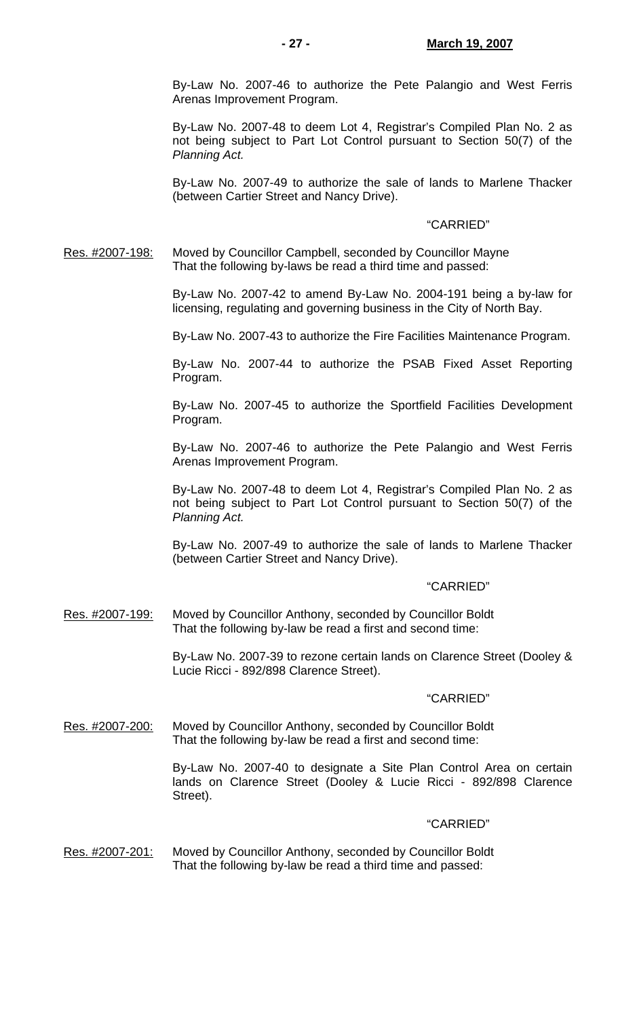By-Law No. 2007-46 to authorize the Pete Palangio and West Ferris Arenas Improvement Program.

 By-Law No. 2007-48 to deem Lot 4, Registrar's Compiled Plan No. 2 as not being subject to Part Lot Control pursuant to Section 50(7) of the *Planning Act.* 

 By-Law No. 2007-49 to authorize the sale of lands to Marlene Thacker (between Cartier Street and Nancy Drive).

#### "CARRIED"

Res. #2007-198: Moved by Councillor Campbell, seconded by Councillor Mayne That the following by-laws be read a third time and passed:

> By-Law No. 2007-42 to amend By-Law No. 2004-191 being a by-law for licensing, regulating and governing business in the City of North Bay.

> By-Law No. 2007-43 to authorize the Fire Facilities Maintenance Program.

 By-Law No. 2007-44 to authorize the PSAB Fixed Asset Reporting Program.

 By-Law No. 2007-45 to authorize the Sportfield Facilities Development Program.

 By-Law No. 2007-46 to authorize the Pete Palangio and West Ferris Arenas Improvement Program.

 By-Law No. 2007-48 to deem Lot 4, Registrar's Compiled Plan No. 2 as not being subject to Part Lot Control pursuant to Section 50(7) of the *Planning Act.* 

 By-Law No. 2007-49 to authorize the sale of lands to Marlene Thacker (between Cartier Street and Nancy Drive).

### "CARRIED"

Res. #2007-199: Moved by Councillor Anthony, seconded by Councillor Boldt That the following by-law be read a first and second time:

> By-Law No. 2007-39 to rezone certain lands on Clarence Street (Dooley & Lucie Ricci - 892/898 Clarence Street).

#### "CARRIED"

Res. #2007-200: Moved by Councillor Anthony, seconded by Councillor Boldt That the following by-law be read a first and second time:

> By-Law No. 2007-40 to designate a Site Plan Control Area on certain lands on Clarence Street (Dooley & Lucie Ricci - 892/898 Clarence Street).

#### "CARRIED"

Res. #2007-201: Moved by Councillor Anthony, seconded by Councillor Boldt That the following by-law be read a third time and passed: